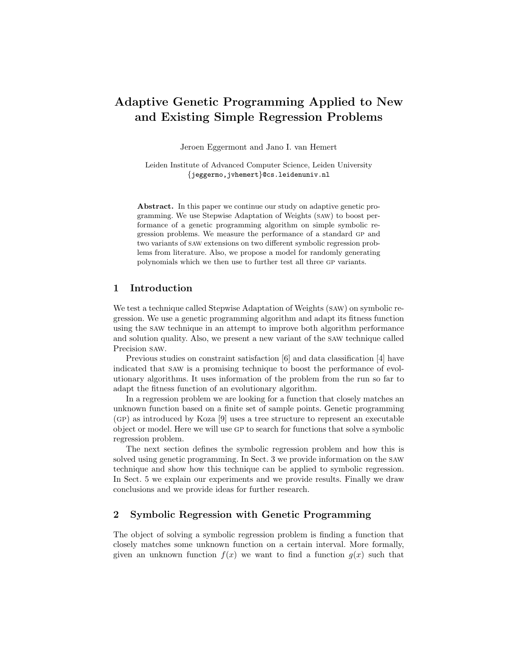# Adaptive Genetic Programming Applied to New and Existing Simple Regression Problems

Jeroen Eggermont and Jano I. van Hemert

Leiden Institute of Advanced Computer Science, Leiden University {jeggermo,jvhemert}@cs.leidenuniv.nl

Abstract. In this paper we continue our study on adaptive genetic programming. We use Stepwise Adaptation of Weights (saw) to boost performance of a genetic programming algorithm on simple symbolic regression problems. We measure the performance of a standard gp and two variants of saw extensions on two different symbolic regression problems from literature. Also, we propose a model for randomly generating polynomials which we then use to further test all three gp variants.

## 1 Introduction

We test a technique called Stepwise Adaptation of Weights (saw) on symbolic regression. We use a genetic programming algorithm and adapt its fitness function using the saw technique in an attempt to improve both algorithm performance and solution quality. Also, we present a new variant of the saw technique called Precision saw.

Previous studies on constraint satisfaction [6] and data classification [4] have indicated that saw is a promising technique to boost the performance of evolutionary algorithms. It uses information of the problem from the run so far to adapt the fitness function of an evolutionary algorithm.

In a regression problem we are looking for a function that closely matches an unknown function based on a finite set of sample points. Genetic programming (gp) as introduced by Koza [9] uses a tree structure to represent an executable object or model. Here we will use gp to search for functions that solve a symbolic regression problem.

The next section defines the symbolic regression problem and how this is solved using genetic programming. In Sect. 3 we provide information on the saw technique and show how this technique can be applied to symbolic regression. In Sect. 5 we explain our experiments and we provide results. Finally we draw conclusions and we provide ideas for further research.

# 2 Symbolic Regression with Genetic Programming

The object of solving a symbolic regression problem is finding a function that closely matches some unknown function on a certain interval. More formally, given an unknown function  $f(x)$  we want to find a function  $g(x)$  such that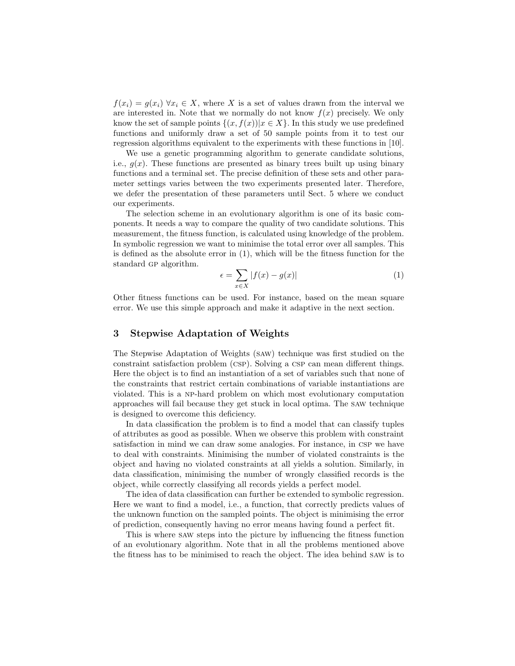$f(x_i) = g(x_i) \,\forall x_i \in X$ , where X is a set of values drawn from the interval we are interested in. Note that we normally do not know  $f(x)$  precisely. We only know the set of sample points  $\{(x, f(x)) | x \in X\}$ . In this study we use predefined functions and uniformly draw a set of 50 sample points from it to test our regression algorithms equivalent to the experiments with these functions in [10].

We use a genetic programming algorithm to generate candidate solutions, i.e.,  $q(x)$ . These functions are presented as binary trees built up using binary functions and a terminal set. The precise definition of these sets and other parameter settings varies between the two experiments presented later. Therefore, we defer the presentation of these parameters until Sect. 5 where we conduct our experiments.

The selection scheme in an evolutionary algorithm is one of its basic components. It needs a way to compare the quality of two candidate solutions. This measurement, the fitness function, is calculated using knowledge of the problem. In symbolic regression we want to minimise the total error over all samples. This is defined as the absolute error in (1), which will be the fitness function for the standard gp algorithm.

$$
\epsilon = \sum_{x \in X} |f(x) - g(x)| \tag{1}
$$

Other fitness functions can be used. For instance, based on the mean square error. We use this simple approach and make it adaptive in the next section.

## 3 Stepwise Adaptation of Weights

The Stepwise Adaptation of Weights (saw) technique was first studied on the constraint satisfaction problem (csp). Solving a csp can mean different things. Here the object is to find an instantiation of a set of variables such that none of the constraints that restrict certain combinations of variable instantiations are violated. This is a np-hard problem on which most evolutionary computation approaches will fail because they get stuck in local optima. The saw technique is designed to overcome this deficiency.

In data classification the problem is to find a model that can classify tuples of attributes as good as possible. When we observe this problem with constraint satisfaction in mind we can draw some analogies. For instance, in CSP we have to deal with constraints. Minimising the number of violated constraints is the object and having no violated constraints at all yields a solution. Similarly, in data classification, minimising the number of wrongly classified records is the object, while correctly classifying all records yields a perfect model.

The idea of data classification can further be extended to symbolic regression. Here we want to find a model, i.e., a function, that correctly predicts values of the unknown function on the sampled points. The object is minimising the error of prediction, consequently having no error means having found a perfect fit.

This is where saw steps into the picture by influencing the fitness function of an evolutionary algorithm. Note that in all the problems mentioned above the fitness has to be minimised to reach the object. The idea behind saw is to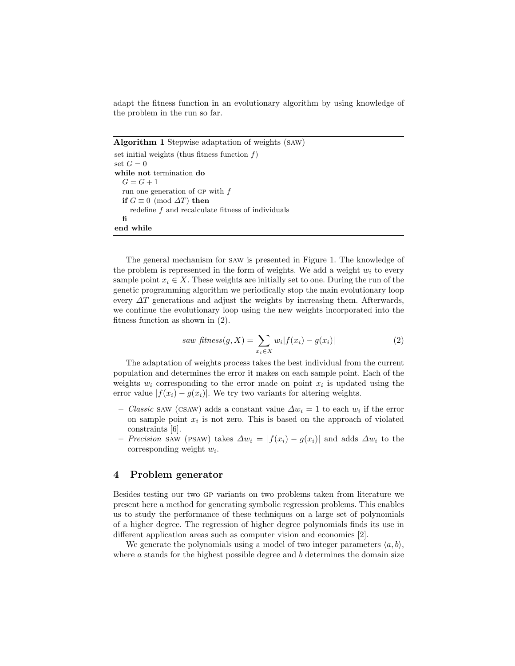adapt the fitness function in an evolutionary algorithm by using knowledge of the problem in the run so far.

Algorithm 1 Stepwise adaptation of weights (saw)

set initial weights (thus fitness function  $f$ ) set  $G=0$ while not termination do  $G = G + 1$ run one generation of  $GP$  with  $f$ if  $G \equiv 0 \pmod{\Delta T}$  then redefine  $f$  and recalculate fitness of individuals fi end while

The general mechanism for saw is presented in Figure 1. The knowledge of the problem is represented in the form of weights. We add a weight  $w_i$  to every sample point  $x_i \in X$ . These weights are initially set to one. During the run of the genetic programming algorithm we periodically stop the main evolutionary loop every  $\Delta T$  generations and adjust the weights by increasing them. Afterwards, we continue the evolutionary loop using the new weights incorporated into the fitness function as shown in (2).

$$
saw \ fitness(g, X) = \sum_{x_i \in X} w_i |f(x_i) - g(x_i)| \tag{2}
$$

The adaptation of weights process takes the best individual from the current population and determines the error it makes on each sample point. Each of the weights  $w_i$  corresponding to the error made on point  $x_i$  is updated using the error value  $|f(x_i) - g(x_i)|$ . We try two variants for altering weights.

- *Classic* SAW (CSAW) adds a constant value  $\Delta w_i = 1$  to each  $w_i$  if the error on sample point  $x_i$  is not zero. This is based on the approach of violated constraints [6].
- Precision saw (psaw) takes  $\Delta w_i = |f(x_i) g(x_i)|$  and adds  $\Delta w_i$  to the corresponding weight  $w_i$ .

## 4 Problem generator

Besides testing our two gp variants on two problems taken from literature we present here a method for generating symbolic regression problems. This enables us to study the performance of these techniques on a large set of polynomials of a higher degree. The regression of higher degree polynomials finds its use in different application areas such as computer vision and economics [2].

We generate the polynomials using a model of two integer parameters  $\langle a, b \rangle$ , where  $a$  stands for the highest possible degree and  $b$  determines the domain size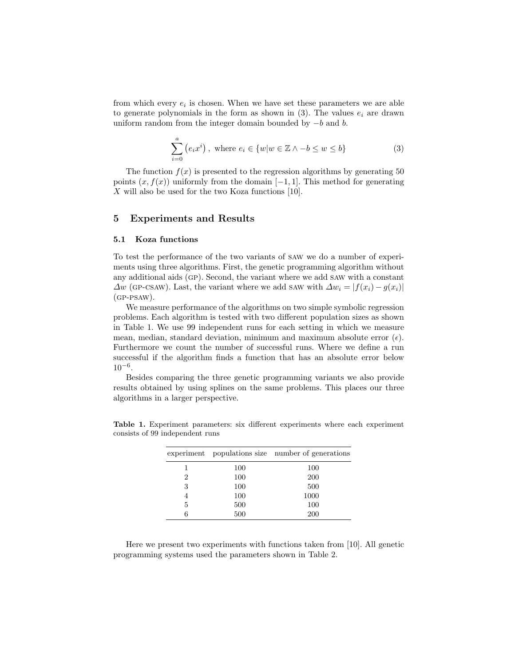from which every  $e_i$  is chosen. When we have set these parameters we are able to generate polynomials in the form as shown in (3). The values  $e_i$  are drawn uniform random from the integer domain bounded by  $-b$  and  $b$ .

$$
\sum_{i=0}^{a} (e_i x^i), \text{ where } e_i \in \{w | w \in \mathbb{Z} \land -b \le w \le b\}
$$
 (3)

The function  $f(x)$  is presented to the regression algorithms by generating 50 points  $(x, f(x))$  uniformly from the domain [−1, 1]. This method for generating  $X$  will also be used for the two Koza functions [10].

## 5 Experiments and Results

#### 5.1 Koza functions

To test the performance of the two variants of saw we do a number of experiments using three algorithms. First, the genetic programming algorithm without any additional aids (gp). Second, the variant where we add saw with a constant  $\Delta w$  (GP-CSAW). Last, the variant where we add SAW with  $\Delta w_i = |f(x_i) - g(x_i)|$ (gp-psaw).

We measure performance of the algorithms on two simple symbolic regression problems. Each algorithm is tested with two different population sizes as shown in Table 1. We use 99 independent runs for each setting in which we measure mean, median, standard deviation, minimum and maximum absolute error  $(\epsilon)$ . Furthermore we count the number of successful runs. Where we define a run successful if the algorithm finds a function that has an absolute error below 10<sup>−</sup><sup>6</sup> .

Besides comparing the three genetic programming variants we also provide results obtained by using splines on the same problems. This places our three algorithms in a larger perspective.

|   |     | experiment populations size number of generations |
|---|-----|---------------------------------------------------|
|   | 100 | 100                                               |
| 2 | 100 | <b>200</b>                                        |
| 3 | 100 | 500                                               |
|   | 100 | 1000                                              |
| 5 | 500 | 100                                               |
|   | 500 | 200                                               |

Table 1. Experiment parameters: six different experiments where each experiment consists of 99 independent runs

Here we present two experiments with functions taken from [10]. All genetic programming systems used the parameters shown in Table 2.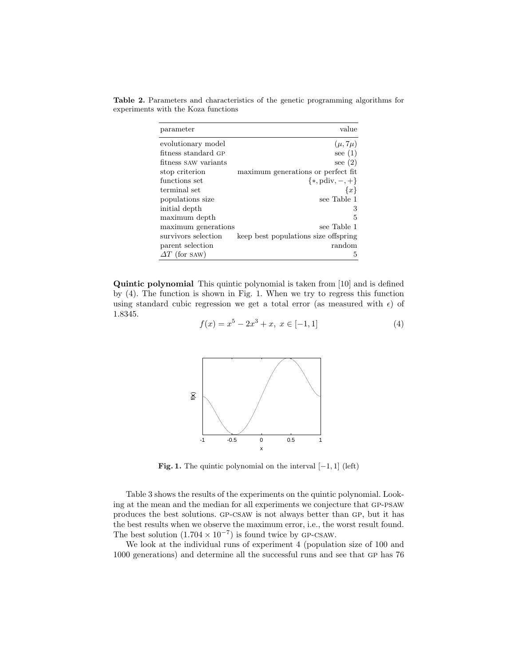Table 2. Parameters and characteristics of the genetic programming algorithms for experiments with the Koza functions

| parameter            | value                                |
|----------------------|--------------------------------------|
| evolutionary model   | $(\mu,7\mu)$                         |
| fitness standard GP  | see $(1)$                            |
| fitness SAW variants | see $(2)$                            |
| stop criterion       | maximum generations or perfect fit   |
| functions set        | $\{*, \text{pdiv}, -, +\}$           |
| terminal set         | $\{x\}$                              |
| populations size     | see Table 1                          |
| initial depth        | 3                                    |
| maximum depth        | 5                                    |
| maximum generations  | see Table 1                          |
| survivors selection  | keep best populations size offspring |
| parent selection     | random                               |
| $\Delta T$ (for SAW) | 5                                    |

Quintic polynomial This quintic polynomial is taken from [10] and is defined by (4). The function is shown in Fig. 1. When we try to regress this function using standard cubic regression we get a total error (as measured with  $\epsilon$ ) of 1.8345.

$$
f(x) = x^5 - 2x^3 + x, \ x \in [-1, 1]
$$
 (4)



Fig. 1. The quintic polynomial on the interval  $[-1, 1]$  (left)

Table 3 shows the results of the experiments on the quintic polynomial. Looking at the mean and the median for all experiments we conjecture that gp-psaw produces the best solutions. gp-csaw is not always better than gp, but it has the best results when we observe the maximum error, i.e., the worst result found. The best solution  $(1.704 \times 10^{-7})$  is found twice by GP-CSAW.

We look at the individual runs of experiment 4 (population size of 100 and 1000 generations) and determine all the successful runs and see that gp has 76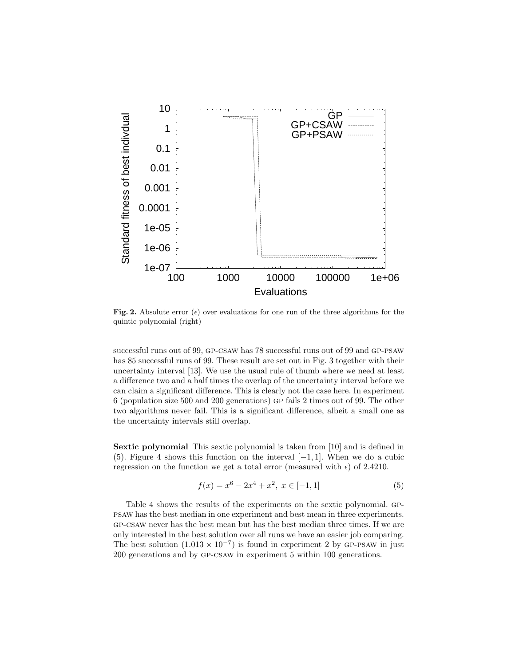

Fig. 2. Absolute error ( $\epsilon$ ) over evaluations for one run of the three algorithms for the quintic polynomial (right)

successful runs out of 99, gp-csaw has 78 successful runs out of 99 and gp-psaw has 85 successful runs of 99. These result are set out in Fig. 3 together with their uncertainty interval [13]. We use the usual rule of thumb where we need at least a difference two and a half times the overlap of the uncertainty interval before we can claim a significant difference. This is clearly not the case here. In experiment 6 (population size 500 and 200 generations) gp fails 2 times out of 99. The other two algorithms never fail. This is a significant difference, albeit a small one as the uncertainty intervals still overlap.

Sextic polynomial This sextic polynomial is taken from [10] and is defined in (5). Figure 4 shows this function on the interval  $[-1, 1]$ . When we do a cubic regression on the function we get a total error (measured with  $\epsilon$ ) of 2.4210.

$$
f(x) = x^6 - 2x^4 + x^2, \ x \in [-1, 1] \tag{5}
$$

Table 4 shows the results of the experiments on the sextic polynomial. gppsaw has the best median in one experiment and best mean in three experiments. gp-csaw never has the best mean but has the best median three times. If we are only interested in the best solution over all runs we have an easier job comparing. The best solution  $(1.013 \times 10^{-7})$  is found in experiment 2 by GP-PSAW in just 200 generations and by gp-csaw in experiment 5 within 100 generations.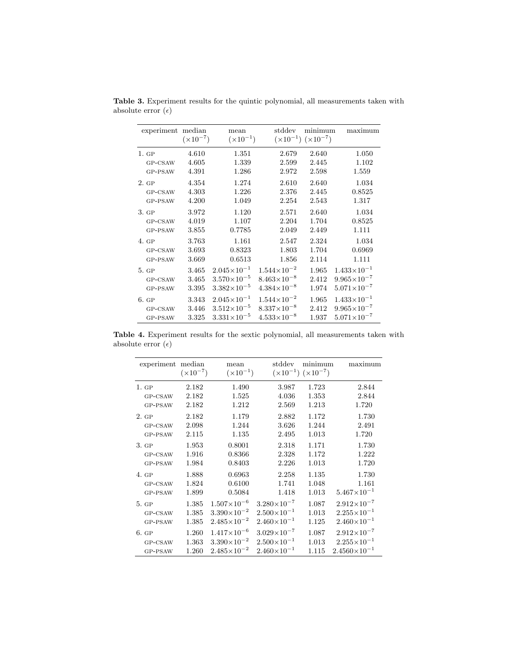| experiment median |                    | mean                   | stddev                 | minimum                               | maximum                |
|-------------------|--------------------|------------------------|------------------------|---------------------------------------|------------------------|
|                   | $(\times 10^{-7})$ | $(\times 10^{-1})$     |                        | $(\times 10^{-1})$ $(\times 10^{-7})$ |                        |
| 1. GP             | 4.610              | 1.351                  | 2.679                  | 2.640                                 | 1.050                  |
| GP-CSAW           | 4.605              | 1.339                  | 2.599                  | 2.445                                 | 1.102                  |
| GP-PSAW           | 4.391              | 1.286                  | 2.972                  | 2.598                                 | 1.559                  |
| 2. GP             | 4.354              | 1.274                  | 2.610                  | 2.640                                 | 1.034                  |
| GP-CSAW           | 4.303              | 1.226                  | 2.376                  | 2.445                                 | 0.8525                 |
| GP-PSAW           | 4.200              | 1.049                  | 2.254                  | 2.543                                 | 1.317                  |
| 3. GP             | 3.972              | 1.120                  | 2.571                  | 2.640                                 | 1.034                  |
| GP-CSAW           | 4.019              | 1.107                  | 2.204                  | 1.704                                 | 0.8525                 |
| GP-PSAW           | 3.855              | 0.7785                 | 2.049                  | 2.449                                 | 1.111                  |
| 4.GP              | 3.763              | 1.161                  | 2.547                  | 2.324                                 | 1.034                  |
| GP-CSAW           | 3.693              | 0.8323                 | 1.803                  | 1.704                                 | 0.6969                 |
| GP-PSAW           | 3.669              | 0.6513                 | 1.856                  | 2.114                                 | 1.111                  |
| 5.GP              | 3.465              | $2.045 \times 10^{-1}$ | $1.544\times10^{-2}$   | 1.965                                 | $1.433\times10^{-1}$   |
| GP-CSAW           | 3.465              | $3.570\times10^{-5}$   | $8.463\times10^{-8}$   | 2.412                                 | $9.965\times10^{-7}$   |
| GP-PSAW           | 3.395              | $3.382\times10^{-5}$   | $4.384\times10^{-8}$   | 1.974                                 | $5.071\times10^{-7}$   |
| 6.GP              | 3.343              | $2.045 \times 10^{-1}$ | $1.544\times10^{-2}$   | 1.965                                 | $1.433\times10^{-1}$   |
| GP-CSAW           | $3.446\,$          | $3.512{\times}10^{-5}$ | $8.337{\times}10^{-8}$ | 2.412                                 | $9.965 \times 10^{-7}$ |
| GP-PSAW           | 3.325              | $3.331\times10^{-5}$   | $4.533\times10^{-8}$   | 1.937                                 | $5.071\times10^{-7}$   |

Table 3. Experiment results for the quintic polynomial, all measurements taken with absolute error  $(\epsilon)$ 

Table 4. Experiment results for the sextic polynomial, all measurements taken with absolute error  $(\epsilon)$ 

| experiment median | $(\times 10^{-7})$ | mean<br>$(\times 10^{-1})$ | stddev               | minimum<br>$(\times 10^{-1})$ $(\times 10^{-7})$ | maximum                |
|-------------------|--------------------|----------------------------|----------------------|--------------------------------------------------|------------------------|
| 1. GP             | 2.182              | 1.490                      | 3.987                | 1.723                                            | 2.844                  |
| GP-CSAW           | 2.182              | 1.525                      | 4.036                | 1.353                                            | 2.844                  |
| GP-PSAW           | 2.182              | 1.212                      | 2.569                | 1.213                                            | 1.720                  |
| 2. GP             | 2.182              | 1.179                      | 2.882                | 1.172                                            | 1.730                  |
| GP-CSAW           | 2.098              | 1.244                      | 3.626                | 1.244                                            | 2.491                  |
| GP-PSAW           | 2.115              | 1.135                      | 2.495                | 1.013                                            | 1.720                  |
| 3.GP              | 1.953              | 0.8001                     | 2.318                | 1.171                                            | 1.730                  |
| GP-CSAW           | 1.916              | 0.8366                     | 2.328                | 1.172                                            | 1.222                  |
| GP-PSAW           | 1.984              | 0.8403                     | 2.226                | 1.013                                            | 1.720                  |
| 4.GP              | 1.888              | 0.6963                     | 2.258                | 1.135                                            | 1.730                  |
| GP-CSAW           | 1.824              | 0.6100                     | 1.741                | 1.048                                            | 1.161                  |
| GP-PSAW           | 1.899              | 0.5084                     | 1.418                | 1.013                                            | $5.467\times10^{-1}$   |
| 5.GP              | 1.385              | $1.507\times10^{-6}$       | $3.280\times10^{-7}$ | 1.087                                            | $2.912\times10^{-7}$   |
| GP-CSAW           | 1.385              | $3.390\times10^{-2}$       | $2.500\times10^{-1}$ | 1.013                                            | $2.255\times10^{-1}$   |
| GP-PSAW           | 1.385              | $2.485 \times 10^{-2}$     | $2.460\times10^{-1}$ | 1.125                                            | $2.460\times10^{-1}$   |
| 6.GP              | 1.260              | $1.417\times10^{-6}$       | $3.029\times10^{-7}$ | 1.087                                            | $2.912\times10^{-7}$   |
| GP-CSAW           | 1.363              | $3.390\times10^{-2}$       | $2.500\times10^{-1}$ | 1.013                                            | $2.255 \times 10^{-1}$ |
| GP-PSAW           | 1.260              | $2.485\times10^{-2}$       | $2.460\times10^{-1}$ | 1.115                                            | $2.4560\times10^{-1}$  |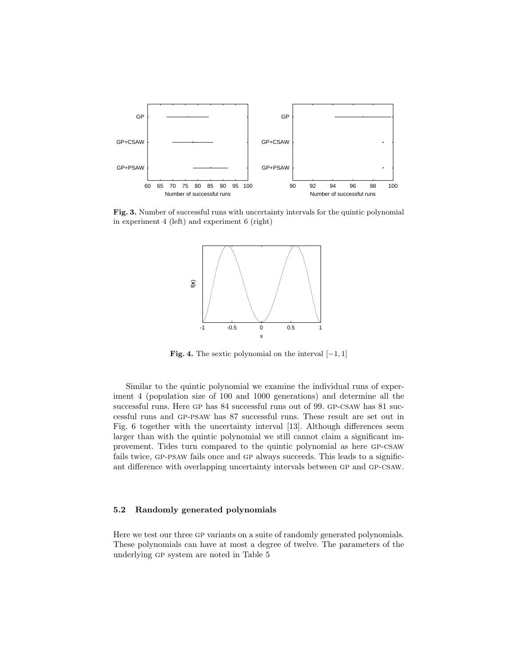

Fig. 3. Number of successful runs with uncertainty intervals for the quintic polynomial in experiment 4 (left) and experiment 6 (right)



Fig. 4. The sextic polynomial on the interval  $[-1, 1]$ 

Similar to the quintic polynomial we examine the individual runs of experiment 4 (population size of 100 and 1000 generations) and determine all the successful runs. Here gp has 84 successful runs out of 99. gp-csaw has 81 successful runs and gp-psaw has 87 successful runs. These result are set out in Fig. 6 together with the uncertainty interval [13]. Although differences seem larger than with the quintic polynomial we still cannot claim a significant improvement. Tides turn compared to the quintic polynomial as here gp-csaw fails twice, GP-PSAW fails once and GP always succeeds. This leads to a significant difference with overlapping uncertainty intervals between gp and gp-csaw.

### 5.2 Randomly generated polynomials

Here we test our three gp variants on a suite of randomly generated polynomials. These polynomials can have at most a degree of twelve. The parameters of the underlying gp system are noted in Table 5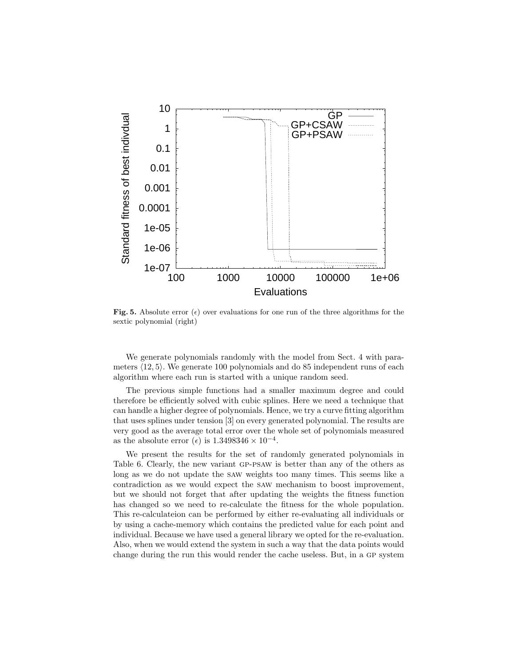

Fig. 5. Absolute error ( $\epsilon$ ) over evaluations for one run of the three algorithms for the sextic polynomial (right)

We generate polynomials randomly with the model from Sect. 4 with parameters  $\langle 12, 5 \rangle$ . We generate 100 polynomials and do 85 independent runs of each algorithm where each run is started with a unique random seed.

The previous simple functions had a smaller maximum degree and could therefore be efficiently solved with cubic splines. Here we need a technique that can handle a higher degree of polynomials. Hence, we try a curve fitting algorithm that uses splines under tension [3] on every generated polynomial. The results are very good as the average total error over the whole set of polynomials measured as the absolute error ( $\epsilon$ ) is 1.3498346 × 10<sup>-4</sup>.

We present the results for the set of randomly generated polynomials in Table 6. Clearly, the new variant gp-psaw is better than any of the others as long as we do not update the saw weights too many times. This seems like a contradiction as we would expect the saw mechanism to boost improvement, but we should not forget that after updating the weights the fitness function has changed so we need to re-calculate the fitness for the whole population. This re-calculateion can be performed by either re-evaluating all individuals or by using a cache-memory which contains the predicted value for each point and individual. Because we have used a general library we opted for the re-evaluation. Also, when we would extend the system in such a way that the data points would change during the run this would render the cache useless. But, in a GP system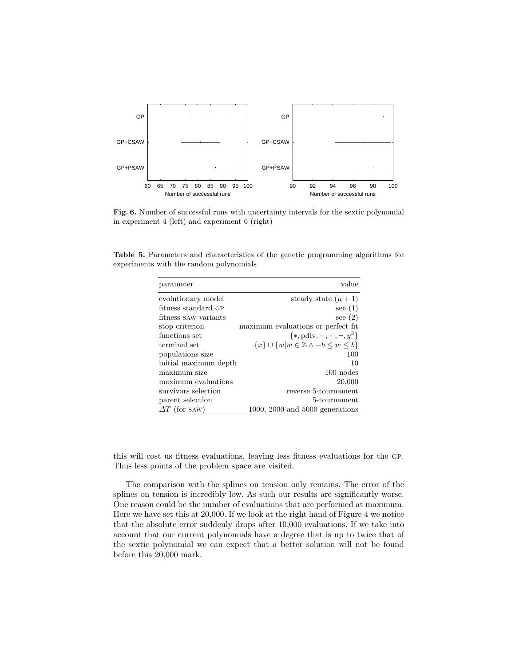

Fig. 6. Number of successful runs with uncertainty intervals for the sextic polynomial in experiment 4 (left) and experiment 6 (right)

Table 5. Parameters and characteristics of the genetic programming algorithms for experiments with the random polynomials

| parameter             | value                                                     |
|-----------------------|-----------------------------------------------------------|
| evolutionary model    | steady state $(\mu + 1)$                                  |
| fitness standard GP   | see $(1)$                                                 |
| fitness SAW variants  | see $(2)$                                                 |
| stop criterion        | maximum evaluations or perfect fit.                       |
| functions set         | $\{*, \text{pdiv}, -, +, \neg, y^3\}$                     |
| terminal set          | ${x} \cup \{w w \in \mathbb{Z} \wedge -b \leq w \leq b\}$ |
| populations size      | 100                                                       |
| initial maximum depth | 10                                                        |
| maximum size          | $100$ nodes                                               |
| maximum evaluations   | 20,000                                                    |
| survivors selection   | reverse 5-tournament                                      |
| parent selection      | 5-tournament                                              |
| $\Delta T$ (for SAW)  | $1000, 2000$ and $5000$ generations                       |

this will cost us fitness evaluations, leaving less fitness evaluations for the gp. Thus less points of the problem space are visited.

The comparison with the splines on tension only remains. The error of the splines on tension is incredibly low. As such our results are significantly worse. One reason could be the number of evaluations that are performed at maximum. Here we have set this at 20,000. If we look at the right hand of Figure 4 we notice that the absolute error suddenly drops after 10,000 evaluations. If we take into account that our current polynomials have a degree that is up to twice that of the sextic polynomial we can expect that a better solution will not be found before this 20,000 mark.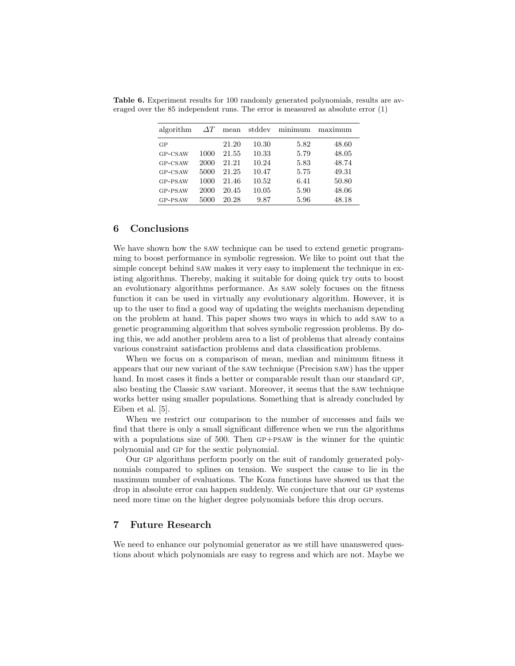| algorithm | $\varDelta T$ | mean  | stddev | minimum | maximum |
|-----------|---------------|-------|--------|---------|---------|
| <b>GP</b> |               | 21.20 | 10.30  | 5.82    | 48.60   |
| GP-CSAW   | 1000          | 21.55 | 10.33  | 5.79    | 48.05   |
| GP-CSAW   | 2000          | 21.21 | 10.24  | 5.83    | 48.74   |
| GP-CSAW   | 5000          | 21.25 | 10.47  | 5.75    | 49.31   |
| GP-PSAW   | 1000          | 21.46 | 10.52  | 6.41    | 50.80   |
| GP-PSAW   | 2000          | 20.45 | 10.05  | 5.90    | 48.06   |
| GP-PSAW   | 5000          | 20.28 | 9.87   | 5.96    | 48.18   |

Table 6. Experiment results for 100 randomly generated polynomials, results are averaged over the 85 independent runs. The error is measured as absolute error (1)

## 6 Conclusions

We have shown how the saw technique can be used to extend genetic programming to boost performance in symbolic regression. We like to point out that the simple concept behind saw makes it very easy to implement the technique in existing algorithms. Thereby, making it suitable for doing quick try outs to boost an evolutionary algorithms performance. As saw solely focuses on the fitness function it can be used in virtually any evolutionary algorithm. However, it is up to the user to find a good way of updating the weights mechanism depending on the problem at hand. This paper shows two ways in which to add saw to a genetic programming algorithm that solves symbolic regression problems. By doing this, we add another problem area to a list of problems that already contains various constraint satisfaction problems and data classification problems.

When we focus on a comparison of mean, median and minimum fitness it appears that our new variant of the saw technique (Precision saw) has the upper hand. In most cases it finds a better or comparable result than our standard GP, also beating the Classic saw variant. Moreover, it seems that the saw technique works better using smaller populations. Something that is already concluded by Eiben et al. [5].

When we restrict our comparison to the number of successes and fails we find that there is only a small significant difference when we run the algorithms with a populations size of 500. Then GP+PSAW is the winner for the quintic polynomial and gp for the sextic polynomial.

Our gp algorithms perform poorly on the suit of randomly generated polynomials compared to splines on tension. We suspect the cause to lie in the maximum number of evaluations. The Koza functions have showed us that the drop in absolute error can happen suddenly. We conjecture that our gp systems need more time on the higher degree polynomials before this drop occurs.

# 7 Future Research

We need to enhance our polynomial generator as we still have unanswered questions about which polynomials are easy to regress and which are not. Maybe we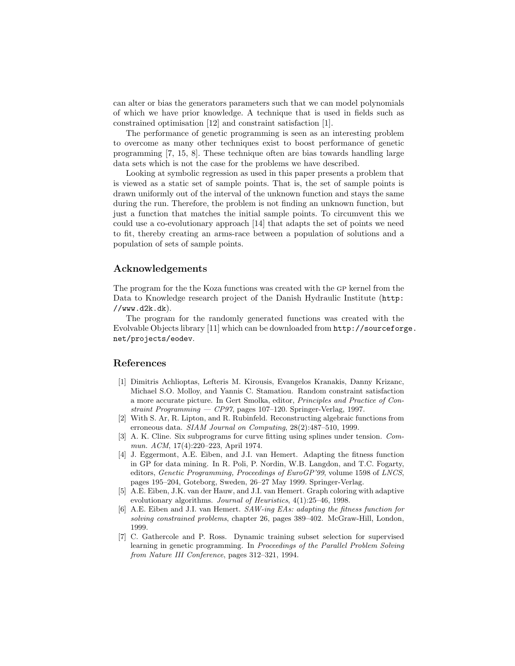can alter or bias the generators parameters such that we can model polynomials of which we have prior knowledge. A technique that is used in fields such as constrained optimisation [12] and constraint satisfaction [1].

The performance of genetic programming is seen as an interesting problem to overcome as many other techniques exist to boost performance of genetic programming [7, 15, 8]. These technique often are bias towards handling large data sets which is not the case for the problems we have described.

Looking at symbolic regression as used in this paper presents a problem that is viewed as a static set of sample points. That is, the set of sample points is drawn uniformly out of the interval of the unknown function and stays the same during the run. Therefore, the problem is not finding an unknown function, but just a function that matches the initial sample points. To circumvent this we could use a co-evolutionary approach [14] that adapts the set of points we need to fit, thereby creating an arms-race between a population of solutions and a population of sets of sample points.

## Acknowledgements

The program for the the Koza functions was created with the gp kernel from the Data to Knowledge research project of the Danish Hydraulic Institute (http:  $//www.d2k.dk).$ 

The program for the randomly generated functions was created with the Evolvable Objects library [11] which can be downloaded from http://sourceforge. net/projects/eodev.

## References

- [1] Dimitris Achlioptas, Lefteris M. Kirousis, Evangelos Kranakis, Danny Krizanc, Michael S.O. Molloy, and Yannis C. Stamatiou. Random constraint satisfaction a more accurate picture. In Gert Smolka, editor, Principles and Practice of Constraint Programming — CP97, pages 107–120. Springer-Verlag, 1997.
- [2] With S. Ar, R. Lipton, and R. Rubinfeld. Reconstructing algebraic functions from erroneous data. SIAM Journal on Computing, 28(2):487–510, 1999.
- [3] A. K. Cline. Six subprograms for curve fitting using splines under tension. Commun. ACM, 17(4):220–223, April 1974.
- [4] J. Eggermont, A.E. Eiben, and J.I. van Hemert. Adapting the fitness function in GP for data mining. In R. Poli, P. Nordin, W.B. Langdon, and T.C. Fogarty, editors, Genetic Programming, Proceedings of EuroGP'99, volume 1598 of LNCS, pages 195–204, Goteborg, Sweden, 26–27 May 1999. Springer-Verlag.
- [5] A.E. Eiben, J.K. van der Hauw, and J.I. van Hemert. Graph coloring with adaptive evolutionary algorithms. Journal of Heuristics, 4(1):25–46, 1998.
- [6] A.E. Eiben and J.I. van Hemert. SAW-ing EAs: adapting the fitness function for solving constrained problems, chapter 26, pages 389–402. McGraw-Hill, London, 1999.
- [7] C. Gathercole and P. Ross. Dynamic training subset selection for supervised learning in genetic programming. In Proceedings of the Parallel Problem Solving from Nature III Conference, pages 312–321, 1994.